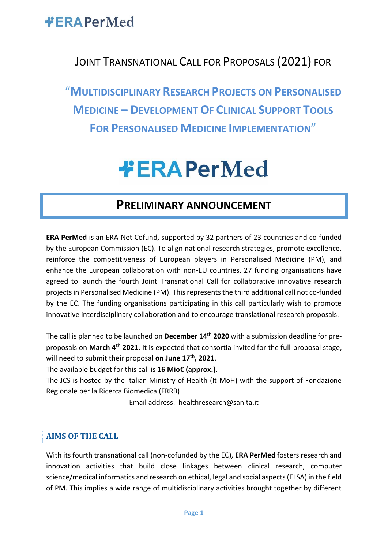

### JOINT TRANSNATIONAL CALL FOR PROPOSALS (2021) FOR

"**MULTIDISCIPLINARY RESEARCH PROJECTS ON PERSONALISED MEDICINE – DEVELOPMENT OF CLINICAL SUPPORT TOOLS FOR PERSONALISED MEDICINE IMPLEMENTATION**"

# **#ERAPerMed**

### **PRELIMINARY ANNOUNCEMENT**

**ERA PerMed** is an ERA-Net Cofund, supported by 32 partners of 23 countries and co-funded by the European Commission (EC). To align national research strategies, promote excellence, reinforce the competitiveness of European players in Personalised Medicine (PM), and enhance the European collaboration with non-EU countries, 27 funding organisations have agreed to launch the fourth Joint Transnational Call for collaborative innovative research projects in Personalised Medicine (PM). This represents the third additional call not co-funded by the EC. The funding organisations participating in this call particularly wish to promote innovative interdisciplinary collaboration and to encourage translational research proposals.

The call is planned to be launched on **December 14th 2020** with a submission deadline for preproposals on **March 4th 2021**. It is expected that consortia invited for the full-proposal stage, will need to submit their proposal **on June 17 th , 2021**.

The available budget for this call is **16 Mio€ (approx.)**.

The JCS is hosted by the Italian Ministry of Health (It-MoH) with the support of Fondazione Regionale per la Ricerca Biomedica (FRRB)

Email address: healthresearch@sanita.it

#### **AIMS OF THE CALL**

With its fourth transnational call (non-cofunded by the EC), **ERA PerMed** fosters research and innovation activities that build close linkages between clinical research, computer science/medical informatics and research on ethical, legal and social aspects (ELSA) in the field of PM. This implies a wide range of multidisciplinary activities brought together by different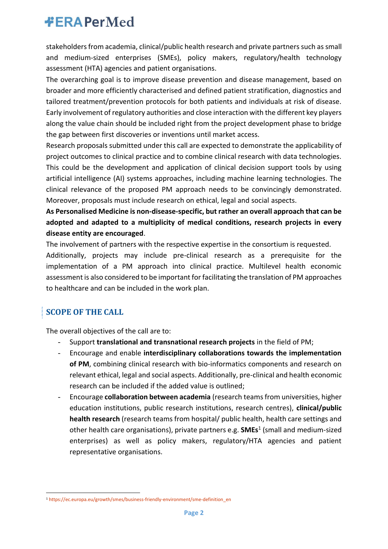stakeholders from academia, clinical/public health research and private partners such as small and medium-sized enterprises (SMEs), policy makers, regulatory/health technology assessment (HTA) agencies and patient organisations.

The overarching goal is to improve disease prevention and disease management, based on broader and more efficiently characterised and defined patient stratification, diagnostics and tailored treatment/prevention protocols for both patients and individuals at risk of disease. Early involvement of regulatory authorities and close interaction with the different key players along the value chain should be included right from the project development phase to bridge the gap between first discoveries or inventions until market access.

Research proposals submitted under this call are expected to demonstrate the applicability of project outcomes to clinical practice and to combine clinical research with data technologies. This could be the development and application of clinical decision support tools by using artificial intelligence (AI) systems approaches, including machine learning technologies. The clinical relevance of the proposed PM approach needs to be convincingly demonstrated. Moreover, proposals must include research on ethical, legal and social aspects.

#### **As Personalised Medicine is non-disease-specific, but rather an overall approach that can be adopted and adapted to a multiplicity of medical conditions, research projects in every disease entity are encouraged**.

The involvement of partners with the respective expertise in the consortium is requested.

Additionally, projects may include pre-clinical research as a prerequisite for the implementation of a PM approach into clinical practice. Multilevel health economic assessment is also considered to be important for facilitating the translation of PM approaches to healthcare and can be included in the work plan.

### **SCOPE OF THE CALL**

The overall objectives of the call are to:

- Support **translational and transnational research projects** in the field of PM;
- Encourage and enable **interdisciplinary collaborations towards the implementation of PM**, combining clinical research with bio-informatics components and research on relevant ethical, legal and social aspects. Additionally, pre-clinical and health economic research can be included if the added value is outlined;
- Encourage **collaboration between academia** (research teams from universities, higher education institutions, public research institutions, research centres), **clinical/public health research** (research teams from hospital/ public health, health care settings and other health care organisations), private partners e.g. **SMEs**<sup>1</sup> (small and medium-sized enterprises) as well as policy makers, regulatory/HTA agencies and patient representative organisations.

<sup>1</sup> [https://ec.europa.eu/growth/smes/business-friendly-environment/sme-definition\\_en](https://ec.europa.eu/growth/smes/business-friendly-environment/sme-definition_en)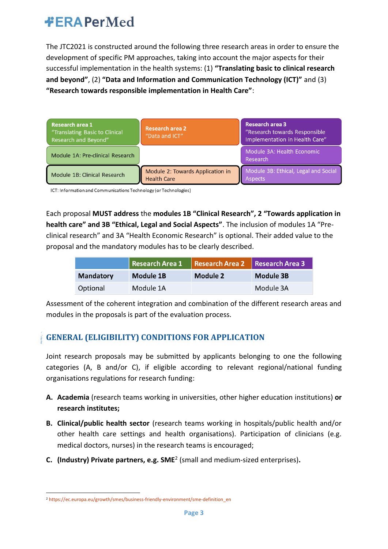The JTC2021 is constructed around the following three research areas in order to ensure the development of specific PM approaches, taking into account the major aspects for their successful implementation in the health systems: (1) **"Translating basic to clinical research and beyond"**, (2) **"Data and Information and Communication Technology (ICT)"** and (3) **"Research towards responsible implementation in Health Care"**:

| Research area 1<br>"Translating Basic to Clinical<br>Research and Beyond" | <b>Research area 2</b><br>"Data and ICT"               | <b>Research area 3</b><br>"Research towards Responsible<br>Implementation in Health Care" |
|---------------------------------------------------------------------------|--------------------------------------------------------|-------------------------------------------------------------------------------------------|
| Module 1A: Pre-clinical Research                                          |                                                        | Module 3A: Health Economic<br>Research                                                    |
| Module 1B: Clinical Research                                              | Module 2: Towards Application in<br><b>Health Care</b> | Module 3B: Ethical, Legal and Social<br><b>Aspects</b>                                    |

ICT: Information and Communications Technology (or Technologies)

Each proposal **MUST address** the **modules 1B "Clinical Research", 2 "Towards application in health care" and 3B "Ethical, Legal and Social Aspects"**. The inclusion of modules 1A "Preclinical research" and 3A "Health Economic Research" is optional. Their added value to the proposal and the mandatory modules has to be clearly described.

|                  | Research Area 1 | Research Area 2 Research Area 3 |           |
|------------------|-----------------|---------------------------------|-----------|
| <b>Mandatory</b> | Module 1B       | Module 2                        | Module 3B |
| Optional         | Module 1A       |                                 | Module 3A |

Assessment of the coherent integration and combination of the different research areas and modules in the proposals is part of the evaluation process.

#### **GENERAL (ELIGIBILITY) CONDITIONS FOR APPLICATION**

Joint research proposals may be submitted by applicants belonging to one the following categories (A, B and/or C), if eligible according to relevant regional/national funding organisations regulations for research funding:

- **A. Academia** (research teams working in universities, other higher education institutions) **or research institutes;**
- **B. Clinical/public health sector** (research teams working in hospitals/public health and/or other health care settings and health organisations). Participation of clinicians (e.g. medical doctors, nurses) in the research teams is encouraged;
- **C. (Industry) Private partners, e.g. SME**<sup>2</sup> (small and medium-sized enterprises)**.**

<sup>2</sup> [https://ec.europa.eu/growth/smes/business-friendly-environment/sme-definition\\_en](https://ec.europa.eu/growth/smes/business-friendly-environment/sme-definition_en)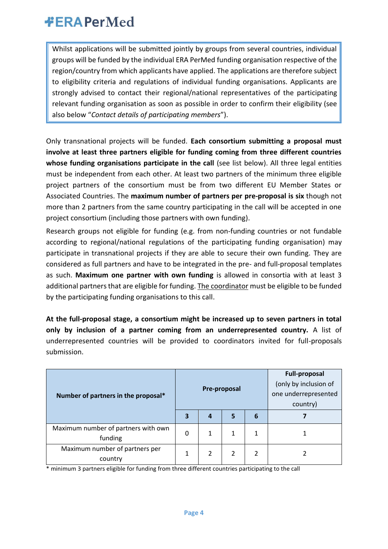Whilst applications will be submitted jointly by groups from several countries, individual groups will be funded by the individual ERA PerMed funding organisation respective of the region/country from which applicants have applied. The applications are therefore subject to eligibility criteria and regulations of individual funding organisations. Applicants are strongly advised to contact their regional/national representatives of the participating relevant funding organisation as soon as possible in order to confirm their eligibility (see also below "*Contact details of participating members*").

Only transnational projects will be funded. **Each consortium submitting a proposal must involve at least three partners eligible for funding coming from three different countries whose funding organisations participate in the call** (see list below). All three legal entities must be independent from each other. At least two partners of the minimum three eligible project partners of the consortium must be from two different EU Member States or Associated Countries. The **maximum number of partners per pre-proposal is six** though not more than 2 partners from the same country participating in the call will be accepted in one project consortium (including those partners with own funding).

Research groups not eligible for funding (e.g. from non-funding countries or not fundable according to regional/national regulations of the participating funding organisation) may participate in transnational projects if they are able to secure their own funding. They are considered as full partners and have to be integrated in the pre- and full-proposal templates as such. **Maximum one partner with own funding** is allowed in consortia with at least 3 additional partners that are eligible for funding. The coordinator must be eligible to be funded by the participating funding organisations to this call.

**At the full-proposal stage, a consortium might be increased up to seven partners in total only by inclusion of a partner coming from an underrepresented country.** A list of underrepresented countries will be provided to coordinators invited for full-proposals submission.

| Number of partners in the proposal*              |   | Pre-proposal |   |   | <b>Full-proposal</b><br>(only by inclusion of<br>one underrepresented<br>country) |
|--------------------------------------------------|---|--------------|---|---|-----------------------------------------------------------------------------------|
|                                                  |   | 4            | 5 | 6 |                                                                                   |
| Maximum number of partners with own<br>funding   | 0 | 1            |   |   |                                                                                   |
| Maximum number of partners per<br><b>country</b> |   | 2            |   |   |                                                                                   |

\* minimum 3 partners eligible for funding from three different countries participating to the call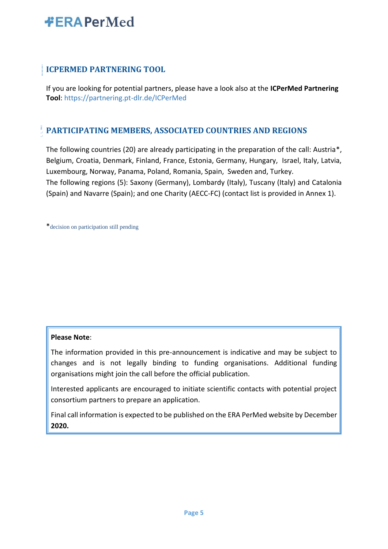#### **ICPERMED PARTNERING TOOL**

If you are looking for potential partners, please have a look also at the **ICPerMed Partnering Tool**:<https://partnering.pt-dlr.de/ICPerMed>

#### **PARTICIPATING MEMBERS, ASSOCIATED COUNTRIES AND REGIONS**

The following countries (20) are already participating in the preparation of the call: Austria\*, Belgium, Croatia, Denmark, Finland, France, Estonia, Germany, Hungary, Israel, Italy, Latvia, Luxembourg, Norway, Panama, Poland, Romania, Spain, Sweden and, Turkey. The following regions (5): Saxony (Germany), Lombardy (Italy), Tuscany (Italy) and Catalonia (Spain) and Navarre (Spain); and one Charity (AECC-FC) (contact list is provided in Annex 1).

\*decision on participation still pending

#### **Please Note**:

The information provided in this pre-announcement is indicative and may be subject to changes and is not legally binding to funding organisations. Additional funding organisations might join the call before the official publication.

Interested applicants are encouraged to initiate scientific contacts with potential project consortium partners to prepare an application.

Final call information is expected to be published on the ERA PerMed website by December **2020.**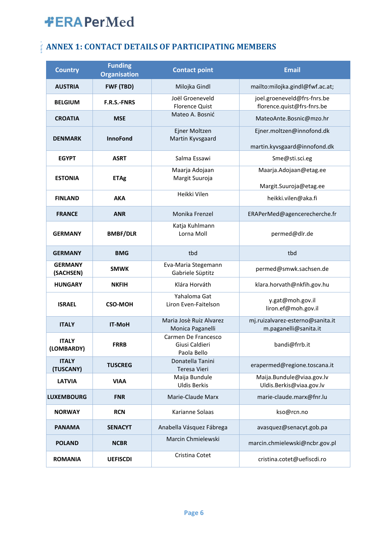### **ANNEX 1: CONTACT DETAILS OF PARTICIPATING MEMBERS**

| <b>Country</b>              | <b>Funding</b><br><b>Organisation</b> | <b>Contact point</b>                                 | <b>Email</b>                                              |
|-----------------------------|---------------------------------------|------------------------------------------------------|-----------------------------------------------------------|
| <b>AUSTRIA</b>              | FWF (TBD)                             | Milojka Gindl                                        | mailto:milojka.gindl@fwf.ac.at;                           |
| <b>BELGIUM</b>              | <b>F.R.S.-FNRS</b>                    | Joël Groeneveld<br><b>Florence Quist</b>             | joel.groeneveld@frs-fnrs.be<br>florence.quist@frs-fnrs.be |
| <b>CROATIA</b>              | <b>MSE</b>                            | Mateo A. Bosnić                                      | MateoAnte.Bosnic@mzo.hr                                   |
| <b>DENMARK</b>              | <b>InnoFond</b>                       | Ejner Moltzen<br>Martin Kyvsgaard                    | Ejner.moltzen@innofond.dk<br>martin.kyvsgaard@innofond.dk |
| <b>EGYPT</b>                | <b>ASRT</b>                           | Salma Essawi                                         | Sme@sti.sci.eg                                            |
| <b>ESTONIA</b>              | <b>ETAg</b>                           | Maarja Adojaan<br>Margit Suuroja                     | Maarja.Adojaan@etag.ee                                    |
| <b>FINLAND</b>              | AKA                                   | Heikki Vilen                                         | Margit.Suuroja@etag.ee<br>heikki.vilen@aka.fi             |
| <b>FRANCE</b>               | <b>ANR</b>                            | Monika Frenzel                                       | ERAPerMed@agencerecherche.fr                              |
| <b>GERMANY</b>              | <b>BMBF/DLR</b>                       | Katja Kuhlmann<br>Lorna Moll                         | permed@dlr.de                                             |
| <b>GERMANY</b>              | <b>BMG</b>                            | tbd                                                  | tbd                                                       |
| <b>GERMANY</b><br>(SACHSEN) | <b>SMWK</b>                           | Eva-Maria Stegemann<br>Gabriele Süptitz              | permed@smwk.sachsen.de                                    |
| <b>HUNGARY</b>              | <b>NKFIH</b>                          | Klára Horváth                                        | klara.horvath@nkfih.gov.hu                                |
| <b>ISRAEL</b>               | <b>CSO-MOH</b>                        | Yahaloma Gat<br>Liron Even-Faitelson                 | y.gat@moh.gov.il<br>liron.ef@moh.gov.il                   |
| <b>ITALY</b>                | <b>IT-MoH</b>                         | Maria Josè Ruiz Alvarez<br>Monica Paganelli          | mj.ruizalvarez-esterno@sanita.it<br>m.paganelli@sanita.it |
| <b>ITALY</b><br>(LOMBARDY)  | <b>FRRB</b>                           | Carmen De Francesco<br>Giusi Caldieri<br>Paola Bello | bandi@frrb.it                                             |
| <b>ITALY</b><br>(TUSCANY)   | <b>TUSCREG</b>                        | Donatella Tanini<br>Teresa Vieri                     | erapermed@regione.toscana.it                              |
| <b>LATVIA</b>               | <b>VIAA</b>                           | Maija Bundule<br><b>Uldis Berkis</b>                 | Maija.Bundule@viaa.gov.lv<br>Uldis.Berkis@viaa.gov.lv     |
| <b>LUXEMBOURG</b>           | <b>FNR</b>                            | Marie-Claude Marx                                    | marie-claude.marx@fnr.lu                                  |
| <b>NORWAY</b>               | <b>RCN</b>                            | Karianne Solaas                                      | kso@rcn.no                                                |
| <b>PANAMA</b>               | <b>SENACYT</b>                        | Anabella Vásquez Fábrega                             | avasquez@senacyt.gob.pa                                   |
| <b>POLAND</b>               | <b>NCBR</b>                           | Marcin Chmielewski                                   | marcin.chmielewski@ncbr.gov.pl                            |
| <b>ROMANIA</b>              | <b>UEFISCDI</b>                       | Cristina Cotet                                       | cristina.cotet@uefiscdi.ro                                |